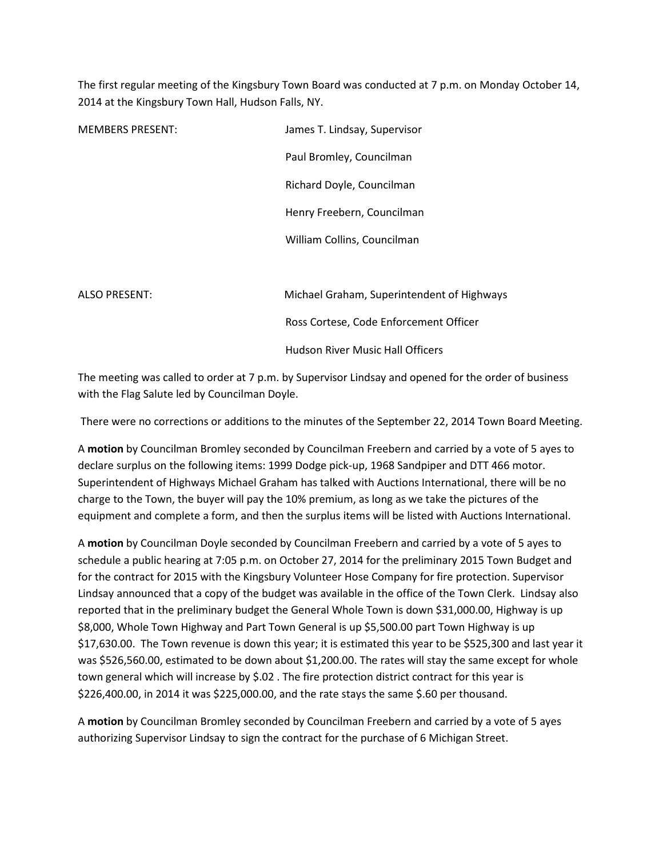The first regular meeting of the Kingsbury Town Board was conducted at 7 p.m. on Monday October 14, 2014 at the Kingsbury Town Hall, Hudson Falls, NY.

| <b>MEMBERS PRESENT:</b> | James T. Lindsay, Supervisor               |
|-------------------------|--------------------------------------------|
|                         | Paul Bromley, Councilman                   |
|                         | Richard Doyle, Councilman                  |
|                         | Henry Freebern, Councilman                 |
|                         | William Collins, Councilman                |
|                         |                                            |
| <b>ALSO PRESENT:</b>    | Michael Graham, Superintendent of Highways |
|                         | Ross Cortese, Code Enforcement Officer     |
|                         | <b>Hudson River Music Hall Officers</b>    |

The meeting was called to order at 7 p.m. by Supervisor Lindsay and opened for the order of business with the Flag Salute led by Councilman Doyle.

There were no corrections or additions to the minutes of the September 22, 2014 Town Board Meeting.

A **motion** by Councilman Bromley seconded by Councilman Freebern and carried by a vote of 5 ayes to declare surplus on the following items: 1999 Dodge pick-up, 1968 Sandpiper and DTT 466 motor. Superintendent of Highways Michael Graham has talked with Auctions International, there will be no charge to the Town, the buyer will pay the 10% premium, as long as we take the pictures of the equipment and complete a form, and then the surplus items will be listed with Auctions International.

A **motion** by Councilman Doyle seconded by Councilman Freebern and carried by a vote of 5 ayes to schedule a public hearing at 7:05 p.m. on October 27, 2014 for the preliminary 2015 Town Budget and for the contract for 2015 with the Kingsbury Volunteer Hose Company for fire protection. Supervisor Lindsay announced that a copy of the budget was available in the office of the Town Clerk. Lindsay also reported that in the preliminary budget the General Whole Town is down \$31,000.00, Highway is up \$8,000, Whole Town Highway and Part Town General is up \$5,500.00 part Town Highway is up \$17,630.00. The Town revenue is down this year; it is estimated this year to be \$525,300 and last year it was \$526,560.00, estimated to be down about \$1,200.00. The rates will stay the same except for whole town general which will increase by \$.02 . The fire protection district contract for this year is \$226,400.00, in 2014 it was \$225,000.00, and the rate stays the same \$.60 per thousand.

A **motion** by Councilman Bromley seconded by Councilman Freebern and carried by a vote of 5 ayes authorizing Supervisor Lindsay to sign the contract for the purchase of 6 Michigan Street.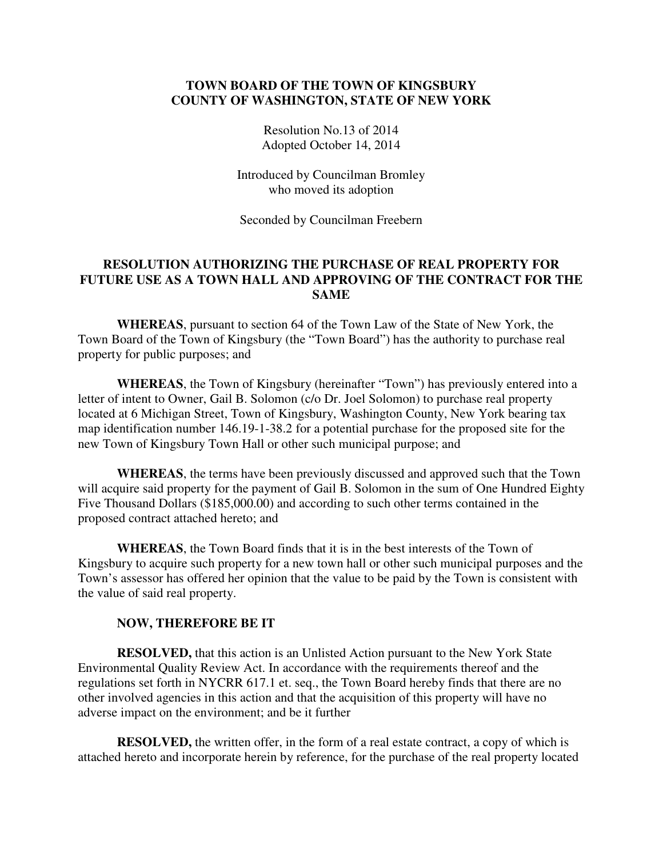# **TOWN BOARD OF THE TOWN OF KINGSBURY COUNTY OF WASHINGTON, STATE OF NEW YORK**

Resolution No.13 of 2014 Adopted October 14, 2014

Introduced by Councilman Bromley who moved its adoption

Seconded by Councilman Freebern

# **RESOLUTION AUTHORIZING THE PURCHASE OF REAL PROPERTY FOR FUTURE USE AS A TOWN HALL AND APPROVING OF THE CONTRACT FOR THE SAME**

**WHEREAS**, pursuant to section 64 of the Town Law of the State of New York, the Town Board of the Town of Kingsbury (the "Town Board") has the authority to purchase real property for public purposes; and

**WHEREAS**, the Town of Kingsbury (hereinafter "Town") has previously entered into a letter of intent to Owner, Gail B. Solomon (c/o Dr. Joel Solomon) to purchase real property located at 6 Michigan Street, Town of Kingsbury, Washington County, New York bearing tax map identification number 146.19-1-38.2 for a potential purchase for the proposed site for the new Town of Kingsbury Town Hall or other such municipal purpose; and

**WHEREAS**, the terms have been previously discussed and approved such that the Town will acquire said property for the payment of Gail B. Solomon in the sum of One Hundred Eighty Five Thousand Dollars (\$185,000.00) and according to such other terms contained in the proposed contract attached hereto; and

**WHEREAS**, the Town Board finds that it is in the best interests of the Town of Kingsbury to acquire such property for a new town hall or other such municipal purposes and the Town's assessor has offered her opinion that the value to be paid by the Town is consistent with the value of said real property.

#### **NOW, THEREFORE BE IT**

**RESOLVED,** that this action is an Unlisted Action pursuant to the New York State Environmental Quality Review Act. In accordance with the requirements thereof and the regulations set forth in NYCRR 617.1 et. seq., the Town Board hereby finds that there are no other involved agencies in this action and that the acquisition of this property will have no adverse impact on the environment; and be it further

**RESOLVED,** the written offer, in the form of a real estate contract, a copy of which is attached hereto and incorporate herein by reference, for the purchase of the real property located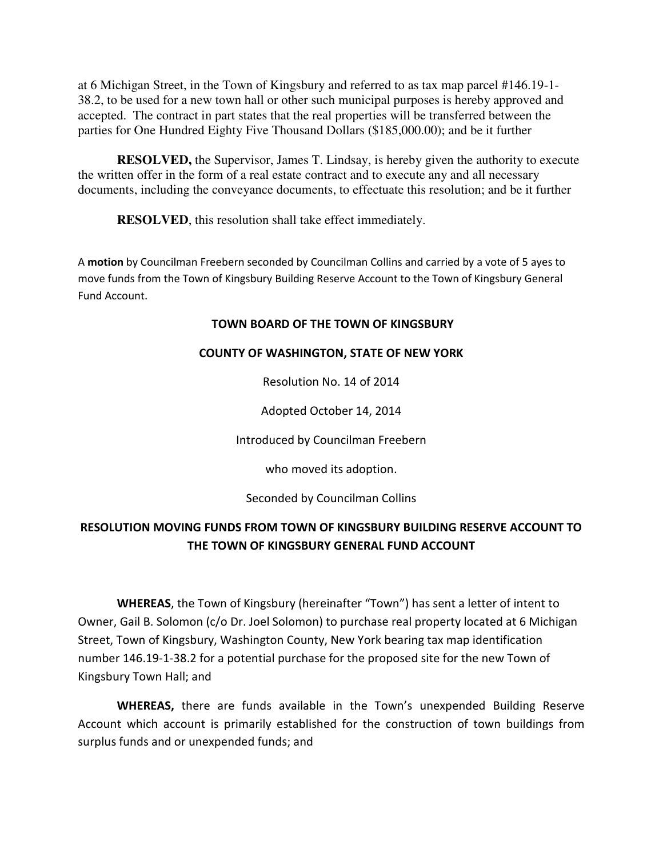at 6 Michigan Street, in the Town of Kingsbury and referred to as tax map parcel #146.19-1- 38.2, to be used for a new town hall or other such municipal purposes is hereby approved and accepted. The contract in part states that the real properties will be transferred between the parties for One Hundred Eighty Five Thousand Dollars (\$185,000.00); and be it further

**RESOLVED,** the Supervisor, James T. Lindsay, is hereby given the authority to execute the written offer in the form of a real estate contract and to execute any and all necessary documents, including the conveyance documents, to effectuate this resolution; and be it further

**RESOLVED**, this resolution shall take effect immediately.

A **motion** by Councilman Freebern seconded by Councilman Collins and carried by a vote of 5 ayes to move funds from the Town of Kingsbury Building Reserve Account to the Town of Kingsbury General Fund Account.

# **TOWN BOARD OF THE TOWN OF KINGSBURY**

# **COUNTY OF WASHINGTON, STATE OF NEW YORK**

Resolution No. 14 of 2014

Adopted October 14, 2014

Introduced by Councilman Freebern

who moved its adoption.

Seconded by Councilman Collins

# **RESOLUTION MOVING FUNDS FROM TOWN OF KINGSBURY BUILDING RESERVE ACCOUNT TO THE TOWN OF KINGSBURY GENERAL FUND ACCOUNT**

 **WHEREAS**, the Town of Kingsbury (hereinafter "Town") has sent a letter of intent to Owner, Gail B. Solomon (c/o Dr. Joel Solomon) to purchase real property located at 6 Michigan Street, Town of Kingsbury, Washington County, New York bearing tax map identification number 146.19-1-38.2 for a potential purchase for the proposed site for the new Town of Kingsbury Town Hall; and

**WHEREAS,** there are funds available in the Town's unexpended Building Reserve Account which account is primarily established for the construction of town buildings from surplus funds and or unexpended funds; and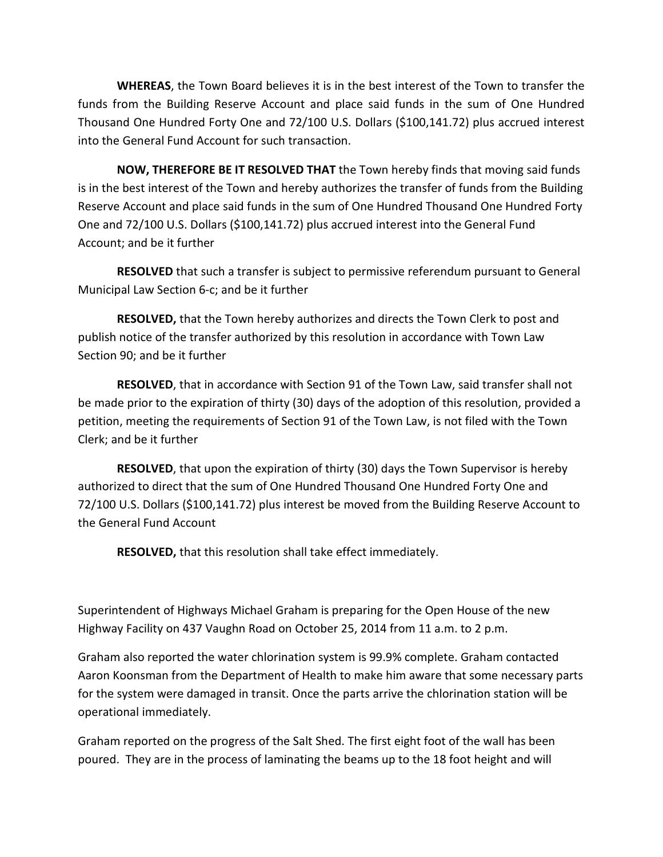**WHEREAS**, the Town Board believes it is in the best interest of the Town to transfer the funds from the Building Reserve Account and place said funds in the sum of One Hundred Thousand One Hundred Forty One and 72/100 U.S. Dollars (\$100,141.72) plus accrued interest into the General Fund Account for such transaction.

**NOW, THEREFORE BE IT RESOLVED THAT** the Town hereby finds that moving said funds is in the best interest of the Town and hereby authorizes the transfer of funds from the Building Reserve Account and place said funds in the sum of One Hundred Thousand One Hundred Forty One and 72/100 U.S. Dollars (\$100,141.72) plus accrued interest into the General Fund Account; and be it further

**RESOLVED** that such a transfer is subject to permissive referendum pursuant to General Municipal Law Section 6-c; and be it further

**RESOLVED,** that the Town hereby authorizes and directs the Town Clerk to post and publish notice of the transfer authorized by this resolution in accordance with Town Law Section 90; and be it further

**RESOLVED**, that in accordance with Section 91 of the Town Law, said transfer shall not be made prior to the expiration of thirty (30) days of the adoption of this resolution, provided a petition, meeting the requirements of Section 91 of the Town Law, is not filed with the Town Clerk; and be it further

**RESOLVED**, that upon the expiration of thirty (30) days the Town Supervisor is hereby authorized to direct that the sum of One Hundred Thousand One Hundred Forty One and 72/100 U.S. Dollars (\$100,141.72) plus interest be moved from the Building Reserve Account to the General Fund Account

**RESOLVED,** that this resolution shall take effect immediately.

Superintendent of Highways Michael Graham is preparing for the Open House of the new Highway Facility on 437 Vaughn Road on October 25, 2014 from 11 a.m. to 2 p.m.

Graham also reported the water chlorination system is 99.9% complete. Graham contacted Aaron Koonsman from the Department of Health to make him aware that some necessary parts for the system were damaged in transit. Once the parts arrive the chlorination station will be operational immediately.

Graham reported on the progress of the Salt Shed. The first eight foot of the wall has been poured. They are in the process of laminating the beams up to the 18 foot height and will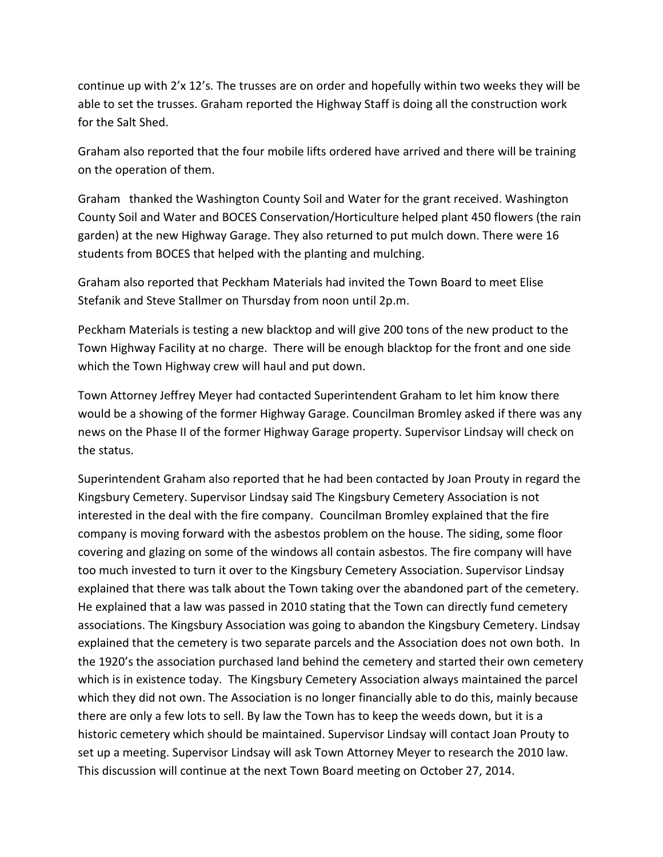continue up with 2'x 12's. The trusses are on order and hopefully within two weeks they will be able to set the trusses. Graham reported the Highway Staff is doing all the construction work for the Salt Shed.

Graham also reported that the four mobile lifts ordered have arrived and there will be training on the operation of them.

Graham thanked the Washington County Soil and Water for the grant received. Washington County Soil and Water and BOCES Conservation/Horticulture helped plant 450 flowers (the rain garden) at the new Highway Garage. They also returned to put mulch down. There were 16 students from BOCES that helped with the planting and mulching.

Graham also reported that Peckham Materials had invited the Town Board to meet Elise Stefanik and Steve Stallmer on Thursday from noon until 2p.m.

Peckham Materials is testing a new blacktop and will give 200 tons of the new product to the Town Highway Facility at no charge. There will be enough blacktop for the front and one side which the Town Highway crew will haul and put down.

Town Attorney Jeffrey Meyer had contacted Superintendent Graham to let him know there would be a showing of the former Highway Garage. Councilman Bromley asked if there was any news on the Phase II of the former Highway Garage property. Supervisor Lindsay will check on the status.

Superintendent Graham also reported that he had been contacted by Joan Prouty in regard the Kingsbury Cemetery. Supervisor Lindsay said The Kingsbury Cemetery Association is not interested in the deal with the fire company. Councilman Bromley explained that the fire company is moving forward with the asbestos problem on the house. The siding, some floor covering and glazing on some of the windows all contain asbestos. The fire company will have too much invested to turn it over to the Kingsbury Cemetery Association. Supervisor Lindsay explained that there was talk about the Town taking over the abandoned part of the cemetery. He explained that a law was passed in 2010 stating that the Town can directly fund cemetery associations. The Kingsbury Association was going to abandon the Kingsbury Cemetery. Lindsay explained that the cemetery is two separate parcels and the Association does not own both. In the 1920's the association purchased land behind the cemetery and started their own cemetery which is in existence today. The Kingsbury Cemetery Association always maintained the parcel which they did not own. The Association is no longer financially able to do this, mainly because there are only a few lots to sell. By law the Town has to keep the weeds down, but it is a historic cemetery which should be maintained. Supervisor Lindsay will contact Joan Prouty to set up a meeting. Supervisor Lindsay will ask Town Attorney Meyer to research the 2010 law. This discussion will continue at the next Town Board meeting on October 27, 2014.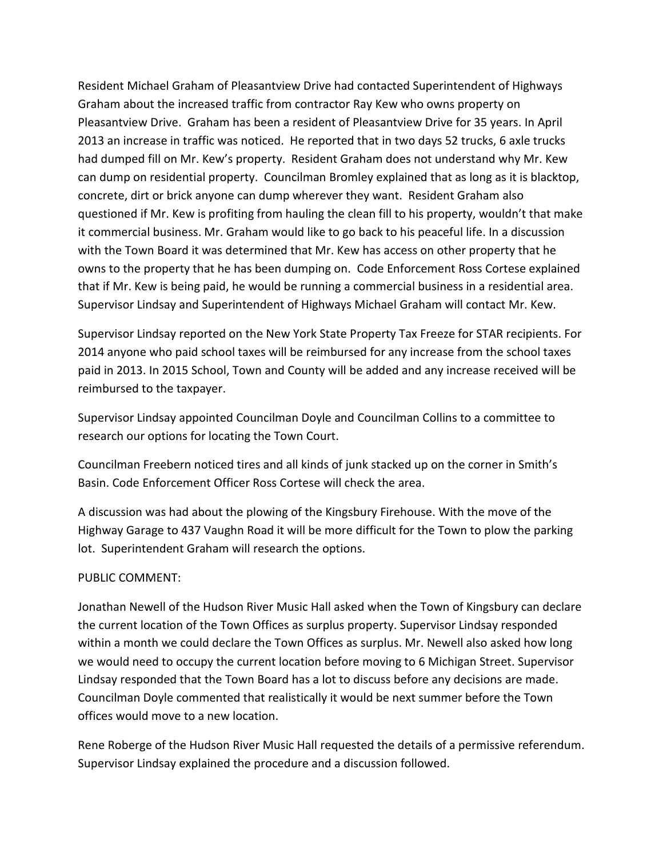Resident Michael Graham of Pleasantview Drive had contacted Superintendent of Highways Graham about the increased traffic from contractor Ray Kew who owns property on Pleasantview Drive. Graham has been a resident of Pleasantview Drive for 35 years. In April 2013 an increase in traffic was noticed. He reported that in two days 52 trucks, 6 axle trucks had dumped fill on Mr. Kew's property. Resident Graham does not understand why Mr. Kew can dump on residential property. Councilman Bromley explained that as long as it is blacktop, concrete, dirt or brick anyone can dump wherever they want. Resident Graham also questioned if Mr. Kew is profiting from hauling the clean fill to his property, wouldn't that make it commercial business. Mr. Graham would like to go back to his peaceful life. In a discussion with the Town Board it was determined that Mr. Kew has access on other property that he owns to the property that he has been dumping on. Code Enforcement Ross Cortese explained that if Mr. Kew is being paid, he would be running a commercial business in a residential area. Supervisor Lindsay and Superintendent of Highways Michael Graham will contact Mr. Kew.

Supervisor Lindsay reported on the New York State Property Tax Freeze for STAR recipients. For 2014 anyone who paid school taxes will be reimbursed for any increase from the school taxes paid in 2013. In 2015 School, Town and County will be added and any increase received will be reimbursed to the taxpayer.

Supervisor Lindsay appointed Councilman Doyle and Councilman Collins to a committee to research our options for locating the Town Court.

Councilman Freebern noticed tires and all kinds of junk stacked up on the corner in Smith's Basin. Code Enforcement Officer Ross Cortese will check the area.

A discussion was had about the plowing of the Kingsbury Firehouse. With the move of the Highway Garage to 437 Vaughn Road it will be more difficult for the Town to plow the parking lot. Superintendent Graham will research the options.

# PUBLIC COMMENT:

Jonathan Newell of the Hudson River Music Hall asked when the Town of Kingsbury can declare the current location of the Town Offices as surplus property. Supervisor Lindsay responded within a month we could declare the Town Offices as surplus. Mr. Newell also asked how long we would need to occupy the current location before moving to 6 Michigan Street. Supervisor Lindsay responded that the Town Board has a lot to discuss before any decisions are made. Councilman Doyle commented that realistically it would be next summer before the Town offices would move to a new location.

Rene Roberge of the Hudson River Music Hall requested the details of a permissive referendum. Supervisor Lindsay explained the procedure and a discussion followed.